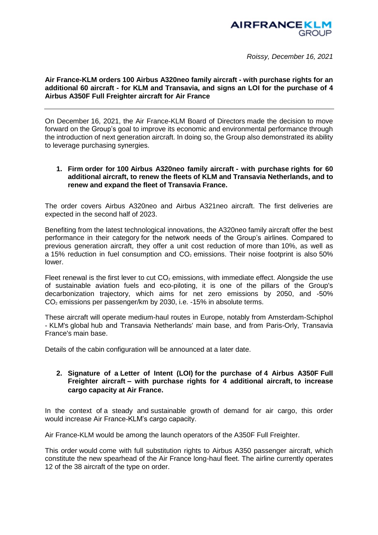

*Roissy, December 16, 2021*

## **Air France-KLM orders 100 Airbus A320neo family aircraft - with purchase rights for an additional 60 aircraft - for KLM and Transavia, and signs an LOI for the purchase of 4 Airbus A350F Full Freighter aircraft for Air France**

On December 16, 2021, the Air France-KLM Board of Directors made the decision to move forward on the Group's goal to improve its economic and environmental performance through the introduction of next generation aircraft. In doing so, the Group also demonstrated its ability to leverage purchasing synergies.

## **1. Firm order for 100 Airbus A320neo family aircraft - with purchase rights for 60 additional aircraft, to renew the fleets of KLM and Transavia Netherlands, and to renew and expand the fleet of Transavia France.**

The order covers Airbus A320neo and Airbus A321neo aircraft. The first deliveries are expected in the second half of 2023.

Benefiting from the latest technological innovations, the A320neo family aircraft offer the best performance in their category for the network needs of the Group's airlines. Compared to previous generation aircraft, they offer a unit cost reduction of more than 10%, as well as a 15% reduction in fuel consumption and  $CO<sub>2</sub>$  emissions. Their noise footprint is also 50% lower.

Fleet renewal is the first lever to cut  $CO<sub>2</sub>$  emissions, with immediate effect. Alongside the use of sustainable aviation fuels and eco-piloting, it is one of the pillars of the Group's decarbonization trajectory, which aims for net zero emissions by 2050, and -50%  $CO<sub>2</sub>$  emissions per passenger/km by 2030, i.e. -15% in absolute terms.

These aircraft will operate medium-haul routes in Europe, notably from Amsterdam-Schiphol - KLM's global hub and Transavia Netherlands' main base, and from Paris-Orly, Transavia France's main base.

Details of the cabin configuration will be announced at a later date.

## **2. Signature of a Letter of Intent (LOI) for the purchase of 4 Airbus A350F Full Freighter aircraft – with purchase rights for 4 additional aircraft, to increase cargo capacity at Air France.**

In the context of a steady and sustainable growth of demand for air cargo, this order would increase Air France-KLM's cargo capacity.

Air France-KLM would be among the launch operators of the A350F Full Freighter.

This order would come with full substitution rights to Airbus A350 passenger aircraft, which constitute the new spearhead of the Air France long-haul fleet. The airline currently operates 12 of the 38 aircraft of the type on order.